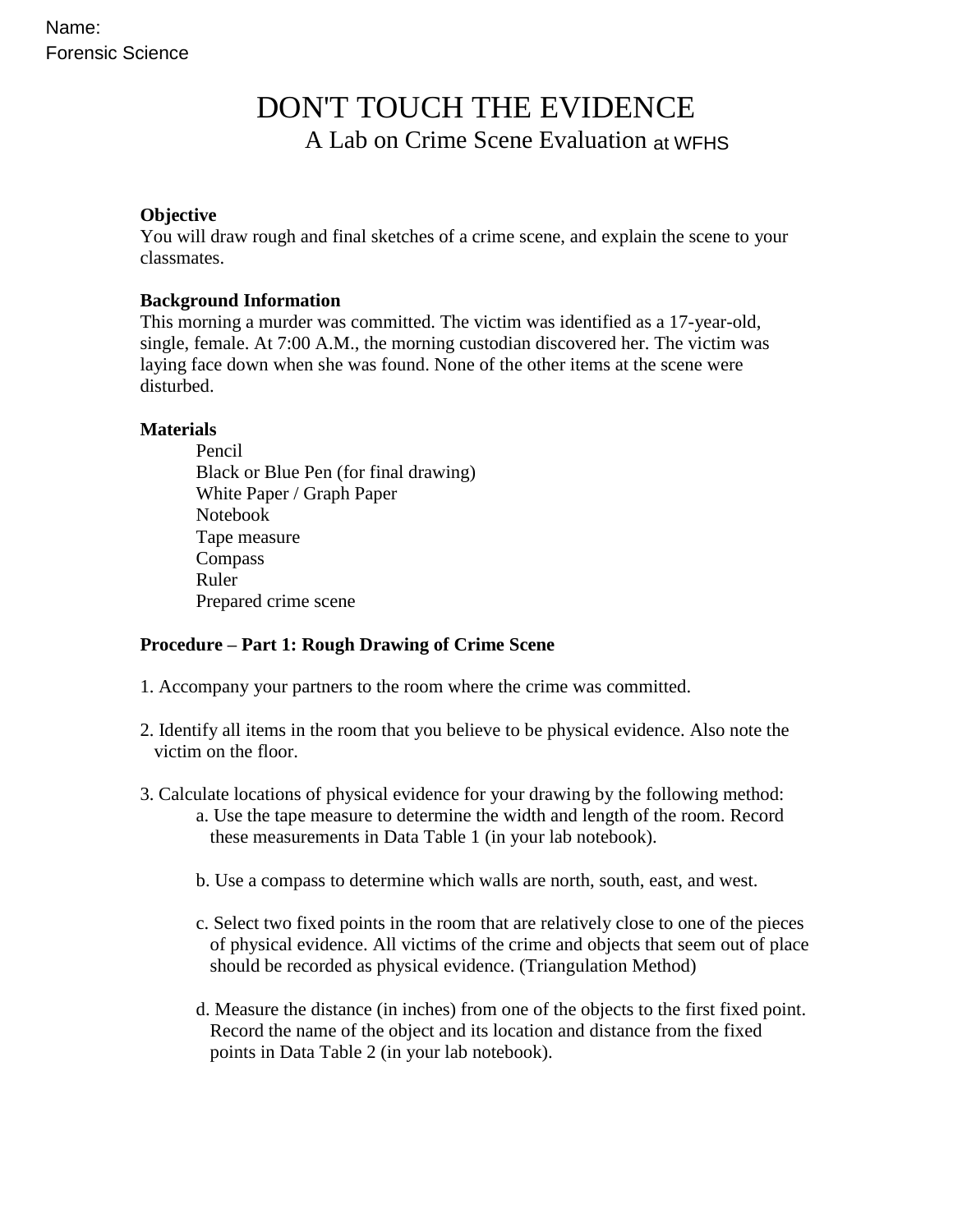# DON'T TOUCH THE EVIDENCE A Lab on Crime Scene Evaluation Forensic Science<br>DON'T TOUCH THE EVIDENCE<br>A Lab on Crime Scene Evaluation at WFHS

## **Objective**

You will draw rough and final sketches of a crime scene, and explain the scene to your classmates.

### **Background Information**

This morning a murder was committed. The victim was identified as a 17-year-old, single, female. At 7:00 A.M., the morning custodian discovered her. The victim was laying face down when she was found. None of the other items at the scene were disturbed.

### **Materials**

Pencil Black or Blue Pen (for final drawing) White Paper / Graph Paper Notebook Tape measure Compass Ruler Prepared crime scene

### **Procedure – Part 1: Rough Drawing of Crime Scene**

- 1. Accompany your partners to the room where the crime was committed.
- 2. Identify all items in the room that you believe to be physical evidence. Also note the victim on the floor.
- 3. Calculate locations of physical evidence for your drawing by the following method: a. Use the tape measure to determine the width and length of the room. Record these measurements in Data Table 1 (in your lab notebook).
	- b. Use a compass to determine which walls are north, south, east, and west.
	- c. Select two fixed points in the room that are relatively close to one of the pieces of physical evidence. All victims of the crime and objects that seem out of place should be recorded as physical evidence. (Triangulation Method)
	- d. Measure the distance (in inches) from one of the objects to the first fixed point. Record the name of the object and its location and distance from the fixed points in Data Table 2 (in your lab notebook).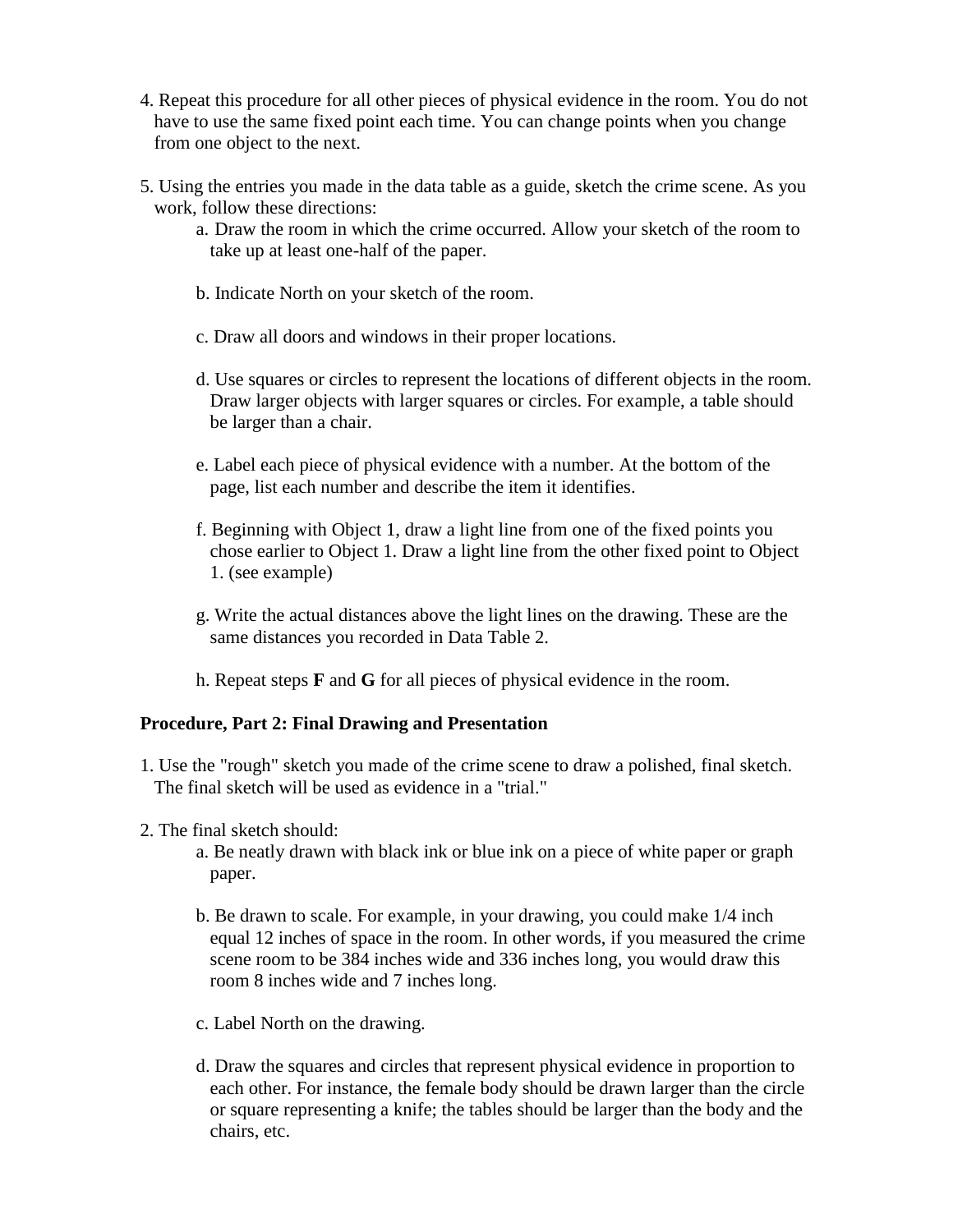- 4. Repeat this procedure for all other pieces of physical evidence in the room. You do not have to use the same fixed point each time. You can change points when you change from one object to the next.
- 5. Using the entries you made in the data table as a guide, sketch the crime scene. As you work, follow these directions:
	- a. Draw the room in which the crime occurred. Allow your sketch of the room to take up at least one-half of the paper.
	- b. Indicate North on your sketch of the room.
	- c. Draw all doors and windows in their proper locations.
	- d. Use squares or circles to represent the locations of different objects in the room. Draw larger objects with larger squares or circles. For example, a table should be larger than a chair.
	- e. Label each piece of physical evidence with a number. At the bottom of the page, list each number and describe the item it identifies.
	- f. Beginning with Object 1, draw a light line from one of the fixed points you chose earlier to Object 1. Draw a light line from the other fixed point to Object 1. (see example)
	- g. Write the actual distances above the light lines on the drawing. These are the same distances you recorded in Data Table 2.
	- h. Repeat steps **F** and **G** for all pieces of physical evidence in the room.

#### **Procedure, Part 2: Final Drawing and Presentation**

- 1. Use the "rough" sketch you made of the crime scene to draw a polished, final sketch. The final sketch will be used as evidence in a "trial."
- 2. The final sketch should:
	- a. Be neatly drawn with black ink or blue ink on a piece of white paper or graph paper.
	- b. Be drawn to scale. For example, in your drawing, you could make 1/4 inch equal 12 inches of space in the room. In other words, if you measured the crime scene room to be 384 inches wide and 336 inches long, you would draw this room 8 inches wide and 7 inches long.
	- c. Label North on the drawing.
	- d. Draw the squares and circles that represent physical evidence in proportion to each other. For instance, the female body should be drawn larger than the circle or square representing a knife; the tables should be larger than the body and the chairs, etc.